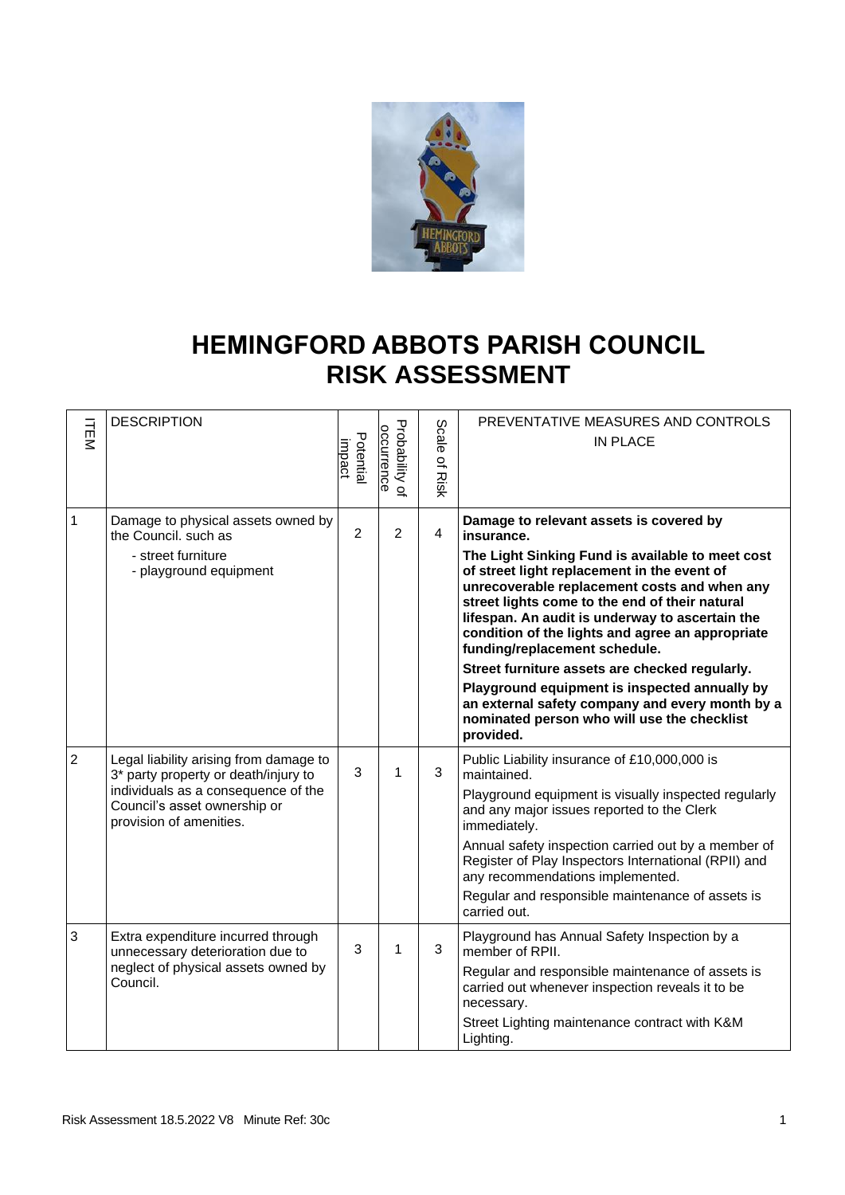

## **HEMINGFORD ABBOTS PARISH COUNCIL RISK ASSESSMENT**

| <b>ITEM</b>    | <b>DESCRIPTION</b>                                                                                                        | Potential<br>impact | Probability of<br>occurrence | Scale<br>ዹ<br>Risk | PREVENTATIVE MEASURES AND CONTROLS<br><b>IN PLACE</b>                                                                                                                                                                                                                                                                                     |
|----------------|---------------------------------------------------------------------------------------------------------------------------|---------------------|------------------------------|--------------------|-------------------------------------------------------------------------------------------------------------------------------------------------------------------------------------------------------------------------------------------------------------------------------------------------------------------------------------------|
| $\mathbf{1}$   | Damage to physical assets owned by<br>the Council. such as                                                                | $\overline{2}$      | $\overline{2}$               | $\overline{4}$     | Damage to relevant assets is covered by<br>insurance.                                                                                                                                                                                                                                                                                     |
|                | - street furniture<br>- playground equipment                                                                              |                     |                              |                    | The Light Sinking Fund is available to meet cost<br>of street light replacement in the event of<br>unrecoverable replacement costs and when any<br>street lights come to the end of their natural<br>lifespan. An audit is underway to ascertain the<br>condition of the lights and agree an appropriate<br>funding/replacement schedule. |
|                |                                                                                                                           |                     |                              |                    | Street furniture assets are checked regularly.<br>Playground equipment is inspected annually by<br>an external safety company and every month by a<br>nominated person who will use the checklist<br>provided.                                                                                                                            |
| $\overline{2}$ | Legal liability arising from damage to<br>3* party property or death/injury to                                            | 3                   | 1                            | 3                  | Public Liability insurance of £10,000,000 is<br>maintained.                                                                                                                                                                                                                                                                               |
|                | individuals as a consequence of the<br>Council's asset ownership or<br>provision of amenities.                            |                     |                              |                    | Playground equipment is visually inspected regularly<br>and any major issues reported to the Clerk<br>immediately.                                                                                                                                                                                                                        |
|                |                                                                                                                           |                     |                              |                    | Annual safety inspection carried out by a member of<br>Register of Play Inspectors International (RPII) and<br>any recommendations implemented.                                                                                                                                                                                           |
|                |                                                                                                                           |                     |                              |                    | Regular and responsible maintenance of assets is<br>carried out.                                                                                                                                                                                                                                                                          |
| 3              | Extra expenditure incurred through<br>unnecessary deterioration due to<br>neglect of physical assets owned by<br>Council. | 3                   | 1                            | 3                  | Playground has Annual Safety Inspection by a<br>member of RPII.                                                                                                                                                                                                                                                                           |
|                |                                                                                                                           |                     |                              |                    | Regular and responsible maintenance of assets is<br>carried out whenever inspection reveals it to be<br>necessary.                                                                                                                                                                                                                        |
|                |                                                                                                                           |                     |                              |                    | Street Lighting maintenance contract with K&M<br>Lighting.                                                                                                                                                                                                                                                                                |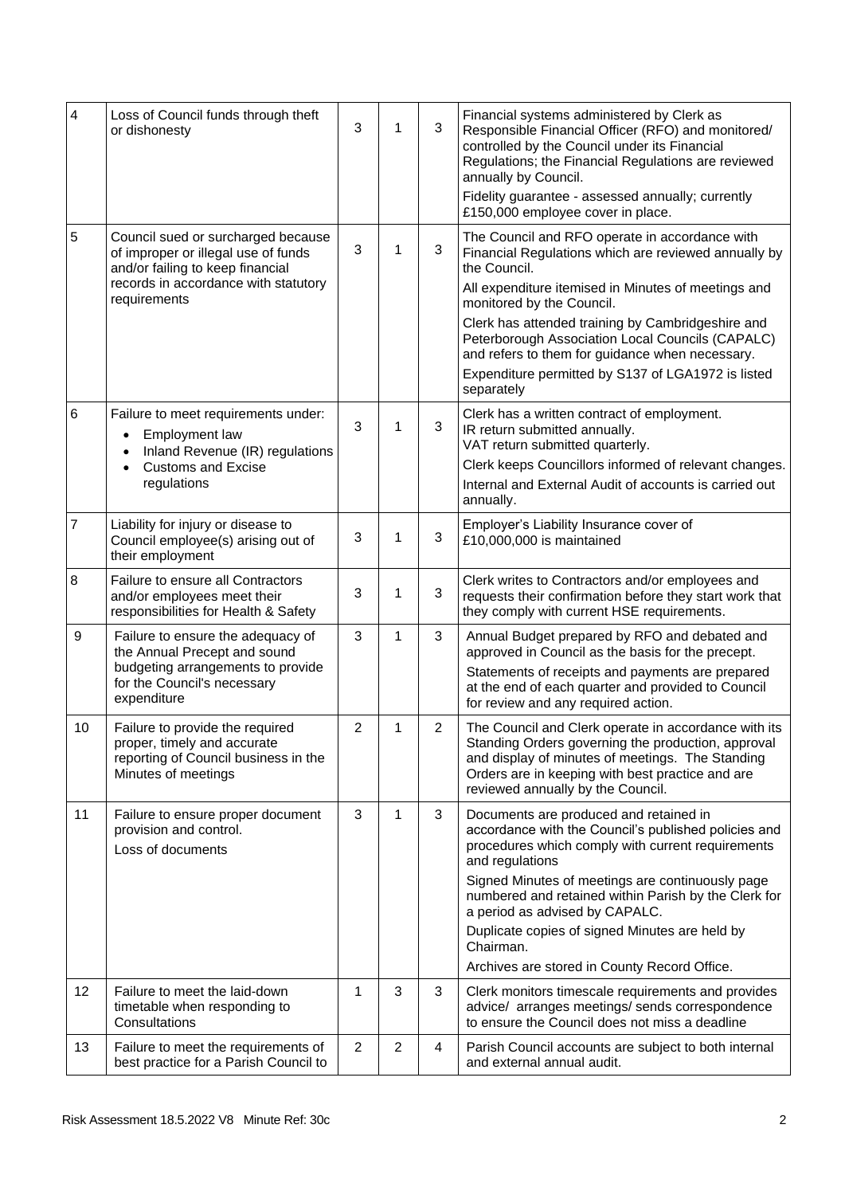| $\overline{\mathbf{4}}$ | Loss of Council funds through theft<br>or dishonesty                                                                          | 3              | 1              | 3              | Financial systems administered by Clerk as<br>Responsible Financial Officer (RFO) and monitored/<br>controlled by the Council under its Financial<br>Regulations; the Financial Regulations are reviewed<br>annually by Council.                        |
|-------------------------|-------------------------------------------------------------------------------------------------------------------------------|----------------|----------------|----------------|---------------------------------------------------------------------------------------------------------------------------------------------------------------------------------------------------------------------------------------------------------|
|                         |                                                                                                                               |                |                |                | Fidelity guarantee - assessed annually; currently<br>£150,000 employee cover in place.                                                                                                                                                                  |
| $\mathbf 5$             | Council sued or surcharged because<br>of improper or illegal use of funds<br>and/or failing to keep financial                 | 3              | 1              | 3              | The Council and RFO operate in accordance with<br>Financial Regulations which are reviewed annually by<br>the Council.                                                                                                                                  |
|                         | records in accordance with statutory<br>requirements                                                                          |                |                |                | All expenditure itemised in Minutes of meetings and<br>monitored by the Council.                                                                                                                                                                        |
|                         |                                                                                                                               |                |                |                | Clerk has attended training by Cambridgeshire and<br>Peterborough Association Local Councils (CAPALC)<br>and refers to them for guidance when necessary.<br>Expenditure permitted by S137 of LGA1972 is listed                                          |
|                         |                                                                                                                               |                |                |                | separately                                                                                                                                                                                                                                              |
| 6                       | Failure to meet requirements under:<br><b>Employment law</b><br>Inland Revenue (IR) regulations                               | 3              | 1              | 3              | Clerk has a written contract of employment.<br>IR return submitted annually.<br>VAT return submitted quarterly.                                                                                                                                         |
|                         | <b>Customs and Excise</b>                                                                                                     |                |                |                | Clerk keeps Councillors informed of relevant changes.                                                                                                                                                                                                   |
|                         | regulations                                                                                                                   |                |                |                | Internal and External Audit of accounts is carried out<br>annually.                                                                                                                                                                                     |
| $\overline{7}$          | Liability for injury or disease to<br>Council employee(s) arising out of<br>their employment                                  | 3              | 1              | 3              | Employer's Liability Insurance cover of<br>£10,000,000 is maintained                                                                                                                                                                                    |
| 8                       | Failure to ensure all Contractors<br>and/or employees meet their<br>responsibilities for Health & Safety                      | 3              | 1              | $\mathbf{3}$   | Clerk writes to Contractors and/or employees and<br>requests their confirmation before they start work that<br>they comply with current HSE requirements.                                                                                               |
| 9                       | Failure to ensure the adequacy of<br>the Annual Precept and sound                                                             | 3              | 1              | 3              | Annual Budget prepared by RFO and debated and<br>approved in Council as the basis for the precept.                                                                                                                                                      |
|                         | budgeting arrangements to provide<br>for the Council's necessary<br>expenditure                                               |                |                |                | Statements of receipts and payments are prepared<br>at the end of each quarter and provided to Council<br>for review and any required action.                                                                                                           |
| 10                      | Failure to provide the required<br>proper, timely and accurate<br>reporting of Council business in the<br>Minutes of meetings | $\overline{c}$ | 1              | $\overline{c}$ | The Council and Clerk operate in accordance with its<br>Standing Orders governing the production, approval<br>and display of minutes of meetings. The Standing<br>Orders are in keeping with best practice and are<br>reviewed annually by the Council. |
| 11                      | Failure to ensure proper document<br>provision and control.<br>Loss of documents                                              | 3              | 1              | 3              | Documents are produced and retained in<br>accordance with the Council's published policies and<br>procedures which comply with current requirements<br>and regulations                                                                                  |
|                         |                                                                                                                               |                |                |                | Signed Minutes of meetings are continuously page<br>numbered and retained within Parish by the Clerk for<br>a period as advised by CAPALC.                                                                                                              |
|                         |                                                                                                                               |                |                |                | Duplicate copies of signed Minutes are held by<br>Chairman.                                                                                                                                                                                             |
|                         |                                                                                                                               |                |                |                | Archives are stored in County Record Office.                                                                                                                                                                                                            |
| $12 \overline{ }$       | Failure to meet the laid-down<br>timetable when responding to<br>Consultations                                                | 1              | 3              | 3              | Clerk monitors timescale requirements and provides<br>advice/ arranges meetings/ sends correspondence<br>to ensure the Council does not miss a deadline                                                                                                 |
| 13                      | Failure to meet the requirements of<br>best practice for a Parish Council to                                                  | $\overline{2}$ | $\overline{2}$ | 4              | Parish Council accounts are subject to both internal<br>and external annual audit.                                                                                                                                                                      |